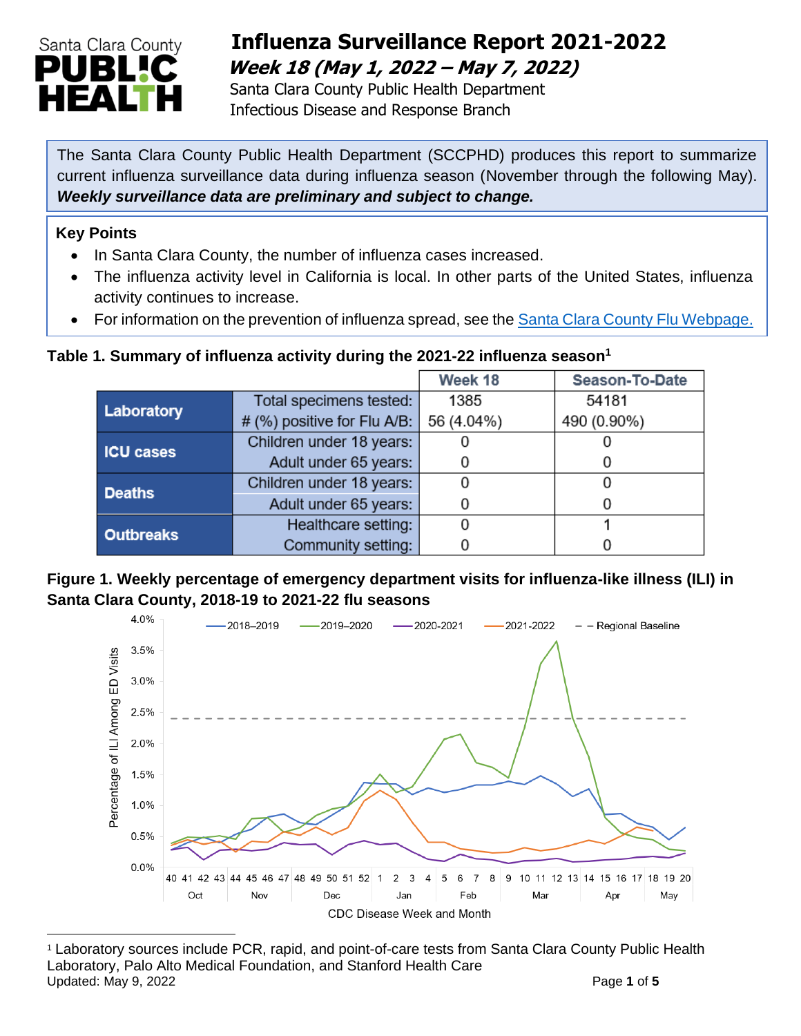

## **Influenza Surveillance Report 2021-2022 Week 18 (May 1, 2022 – May 7, 2022)**

 Santa Clara County Public Health Department Infectious Disease and Response Branch

The Santa Clara County Public Health Department (SCCPHD) produces this report to summarize current influenza surveillance data during influenza season (November through the following May). *Weekly surveillance data are preliminary and subject to change.*

#### **Key Points**

- In Santa Clara County, the number of influenza cases increased.
- The influenza activity level in California is local. In other parts of the United States, influenza activity continues to increase.
- For information on the prevention of influenza spread, see the [Santa Clara County Flu Webpage.](https://publichealth.sccgov.org/disease-information/influenza-flu)

#### **Table 1. Summary of influenza activity during the 2021-22 influenza season<sup>1</sup>**

|                  |                             | Week 18    | Season-To-Date |
|------------------|-----------------------------|------------|----------------|
| Laboratory       | Total specimens tested:     | 1385       | 54181          |
|                  | # (%) positive for Flu A/B: | 56 (4.04%) | 490 (0.90%)    |
| <b>ICU cases</b> | Children under 18 years:    |            |                |
|                  | Adult under 65 years:       |            |                |
| <b>Deaths</b>    | Children under 18 years:    |            |                |
|                  | Adult under 65 years:       |            |                |
| <b>Outbreaks</b> | Healthcare setting:         |            |                |
|                  | Community setting:          |            |                |

#### **Figure 1. Weekly percentage of emergency department visits for influenza-like illness (ILI) in Santa Clara County, 2018-19 to 2021-22 flu seasons**



<sup>1</sup> Laboratory sources include PCR, rapid, and point-of-care tests from Santa Clara County Public Health Laboratory, Palo Alto Medical Foundation, and Stanford Health Care Updated: May 9, 2022 **Page 1** of **5**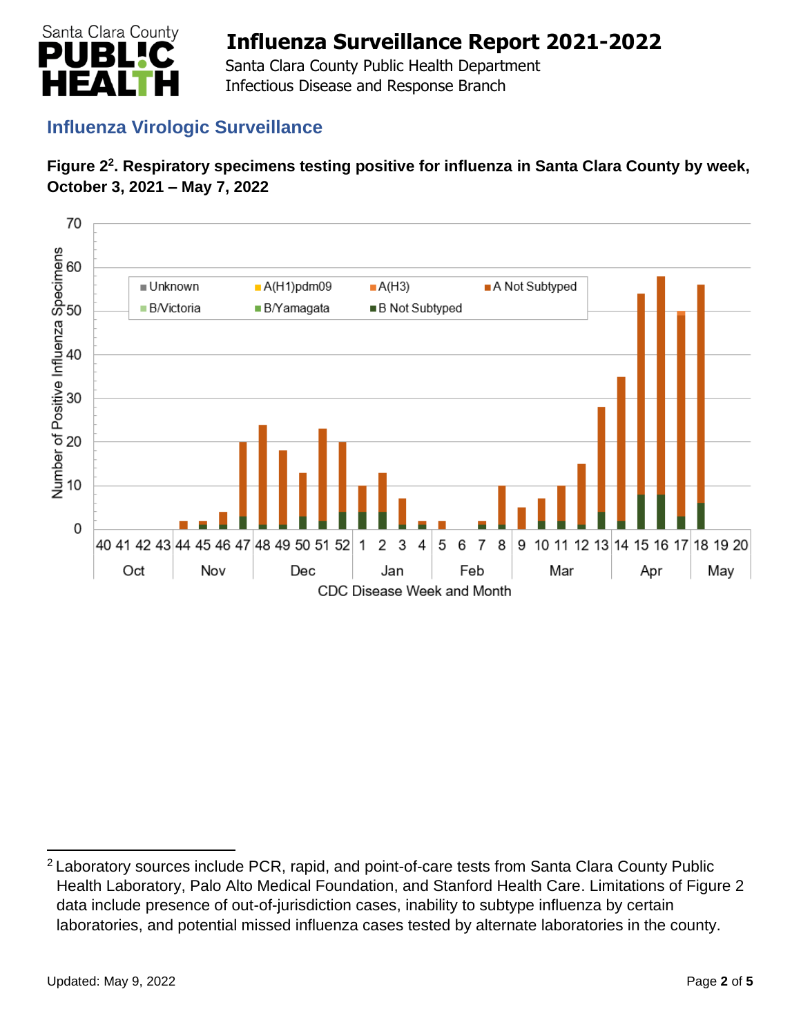

 Santa Clara County Public Health Department Infectious Disease and Response Branch

## **Influenza Virologic Surveillance**





<sup>&</sup>lt;sup>2</sup> Laboratory sources include PCR, rapid, and point-of-care tests from Santa Clara County Public Health Laboratory, Palo Alto Medical Foundation, and Stanford Health Care. Limitations of Figure 2 data include presence of out-of-jurisdiction cases, inability to subtype influenza by certain laboratories, and potential missed influenza cases tested by alternate laboratories in the county.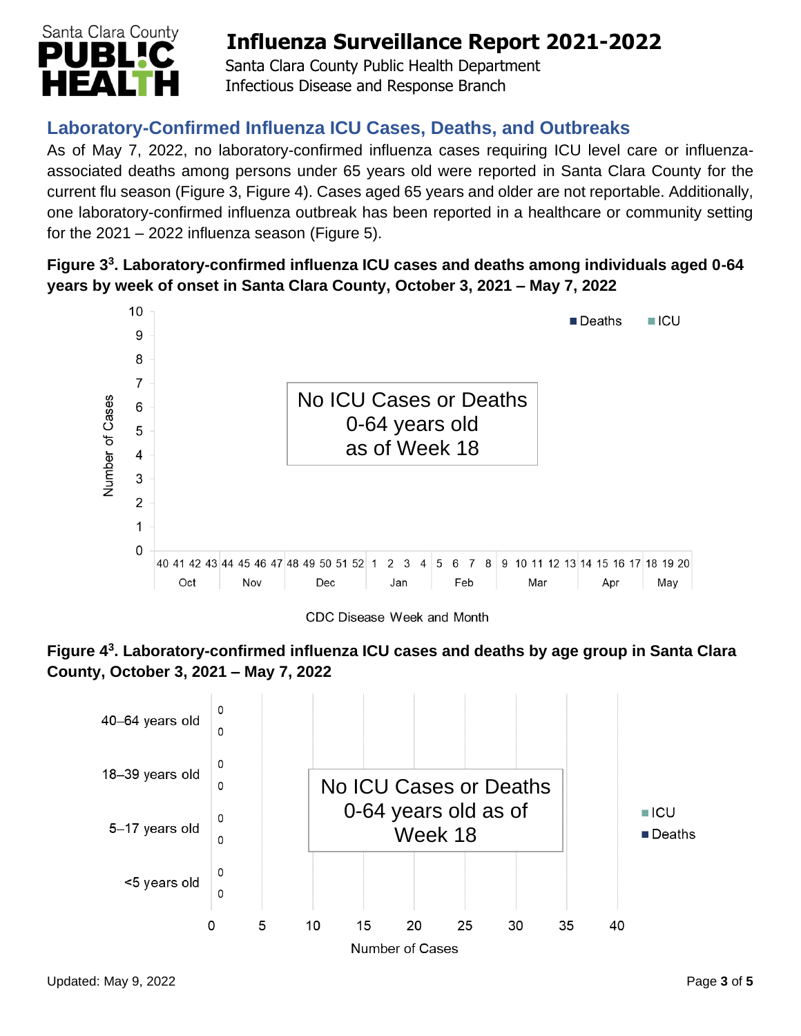

 Santa Clara County Public Health Department Infectious Disease and Response Branch

## **Laboratory-Confirmed Influenza ICU Cases, Deaths, and Outbreaks**

As of May 7, 2022, no laboratory-confirmed influenza cases requiring ICU level care or influenzaassociated deaths among persons under 65 years old were reported in Santa Clara County for the current flu season (Figure 3, Figure 4). Cases aged 65 years and older are not reportable. Additionally, one laboratory-confirmed influenza outbreak has been reported in a healthcare or community setting for the  $2021 - 2022$  influenza season (Figure 5).

#### **Figure 3 3 . Laboratory-confirmed influenza ICU cases and deaths among individuals aged 0-64 years by week of onset in Santa Clara County, October 3, 2021 – May 7, 2022**



CDC Disease Week and Month



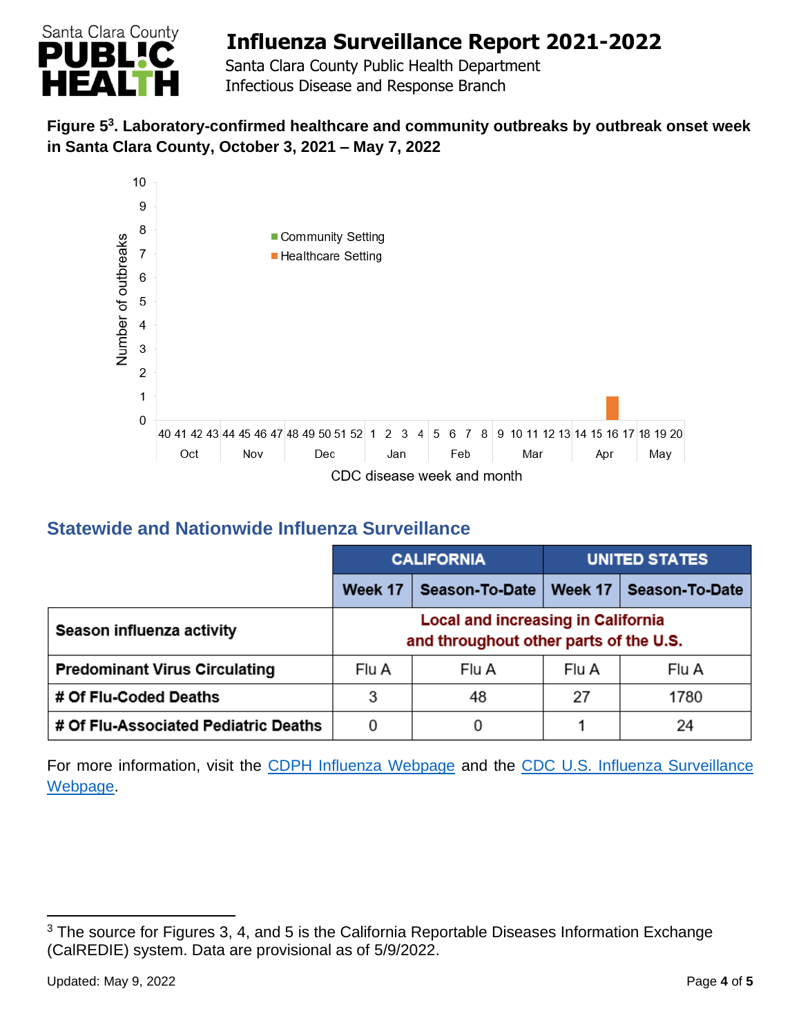

 Santa Clara County Public Health Department Infectious Disease and Response Branch

#### **Figure 5 3 . Laboratory-confirmed healthcare and community outbreaks by outbreak onset week in Santa Clara County, October 3, 2021 – May 7, 2022**



## **Statewide and Nationwide Influenza Surveillance**

|                                      | <b>CALIFORNIA</b>                                                                   |                | <b>UNITED STATES</b> |                |
|--------------------------------------|-------------------------------------------------------------------------------------|----------------|----------------------|----------------|
|                                      | Week 17                                                                             | Season-To-Date | Week 17              | Season-To-Date |
| Season influenza activity            | <b>Local and increasing in California</b><br>and throughout other parts of the U.S. |                |                      |                |
| <b>Predominant Virus Circulating</b> | Flu A                                                                               | Flu A          | Flu A                | Flu A          |
| # Of Flu-Coded Deaths                | 3                                                                                   | 48             | 27                   | 1780           |
| # Of Flu-Associated Pediatric Deaths | 0                                                                                   | 0              |                      | 24             |

For more information, visit the [CDPH Influenza Webpage](http://www.cdph.ca.gov/Programs/CID/DCDC/Pages/Immunization/Influenza.aspx) and the CDC U.S. Influenza Surveillance [Webpage.](http://www.cdc.gov/flu/weekly/)

<sup>&</sup>lt;sup>3</sup> The source for Figures 3, 4, and 5 is the California Reportable Diseases Information Exchange (CalREDIE) system. Data are provisional as of 5/9/2022.